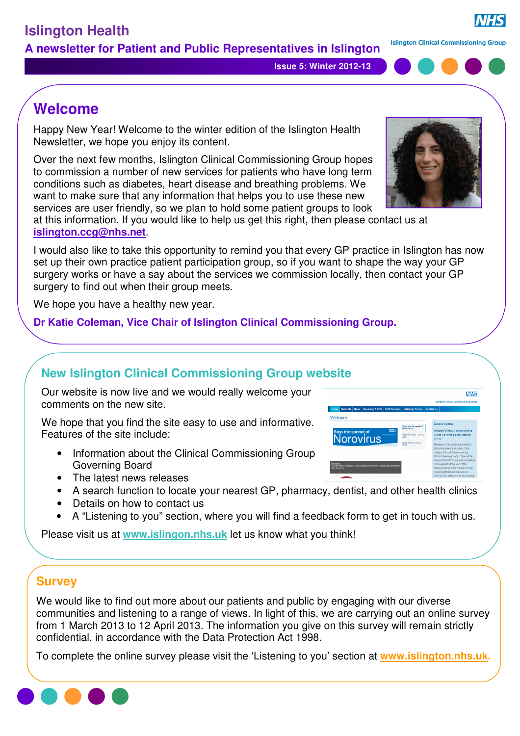**Issue 5: Winter 2012-13**

# **Welcome**

Happy New Year! Welcome to the winter edition of the Islington Health Newsletter, we hope you enjoy its content.

Over the next few months, Islington Clinical Commissioning Group hopes to commission a number of new services for patients who have long term conditions such as diabetes, heart disease and breathing problems. We want to make sure that any information that helps you to use these new services are user friendly, so we plan to hold some patient groups to look

at this information. If you would like to help us get this right, then please contact us at **islington.ccg@nhs.net**.

I would also like to take this opportunity to remind you that every GP practice in Islington has now set up their own practice patient participation group, so if you want to shape the way your GP surgery works or have a say about the services we commission locally, then contact your GP surgery to find out when their group meets.

We hope you have a healthy new year.

#### **Dr Katie Coleman, Vice Chair of Islington Clinical Commissioning Group.**

## **New Islington Clinical Commissioning Group website**

Our website is now live and we would really welcome your comments on the new site.

We hope that you find the site easy to use and informative. Features of the site include:

- Information about the Clinical Commissioning Group Governing Board
- The latest news releases
- A search function to locate your nearest GP, pharmacy, dentist, and other health clinics
- Details on how to contact us
- A "Listening to you" section, where you will find a feedback form to get in touch with us.

Please visit us at **www.islingon.nhs.uk** let us know what you think!

## **Survey**

We would like to find out more about our patients and public by engaging with our diverse communities and listening to a range of views. In light of this, we are carrying out an online survey from 1 March 2013 to 12 April 2013. The information you give on this survey will remain strictly confidential, in accordance with the Data Protection Act 1998.

To complete the online survey please visit the 'Listening to you' section at **www.islington.nhs.uk.**







#### **Islington Clinical Commissioning Group**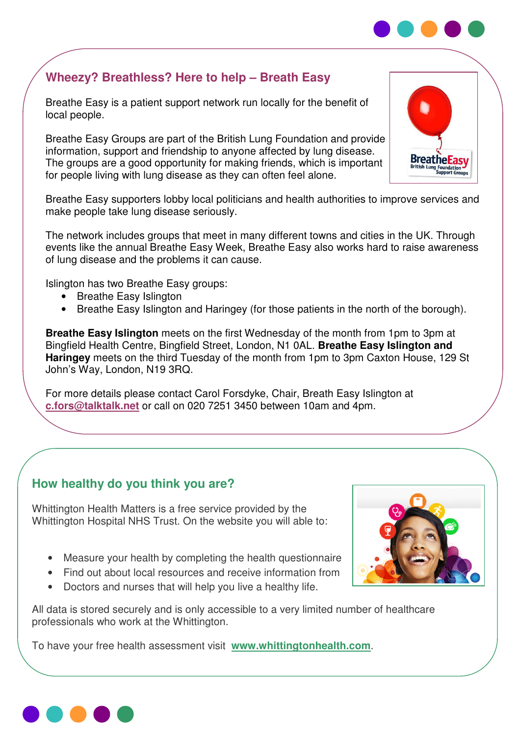## **Wheezy? Breathless? Here to help – Breath Easy**

Breathe Easy is a patient support network run locally for the benefit of local people.

 **1: Summer 2011**  information, support and friendship to anyone affected by lung disease. Breathe Easy Groups are part of the British Lung Foundation and provide The groups are a good opportunity for making friends, which is important for people living with lung disease as they can often feel alone.

Breathe Easy supporters lobby local politicians and health authorities to improve services and make people take lung disease seriously.

The network includes groups that meet in many different towns and cities in the UK. Through events like the annual Breathe Easy Week, Breathe Easy also works hard to raise awareness of lung disease and the problems it can cause.

Islington has two Breathe Easy groups:

- Breathe Easy Islington
- Breathe Easy Islington and Haringey (for those patients in the north of the borough).

**Breathe Easy Islington** meets on the first Wednesday of the month from 1pm to 3pm at Bingfield Health Centre, Bingfield Street, London, N1 0AL. **Breathe Easy Islington and Haringey** meets on the third Tuesday of the month from 1pm to 3pm Caxton House, 129 St John's Way, London, N19 3RQ.

For more details please contact Carol Forsdyke, Chair, Breath Easy Islington at **c.fors@talktalk.net** or call on 020 7251 3450 between 10am and 4pm.

#### **How healthy do you think you are?**

Whittington Health Matters is a free service provided by the Whittington Hospital NHS Trust. On the website you will able to:

- Measure your health by completing the health questionnaire
- Find out about local resources and receive information from
- Doctors and nurses that will help you live a healthy life.

All data is stored securely and is only accessible to a very limited number of healthcare professionals who work at the Whittington.

To have your free health assessment visit **www.whittingtonhealth.com**.







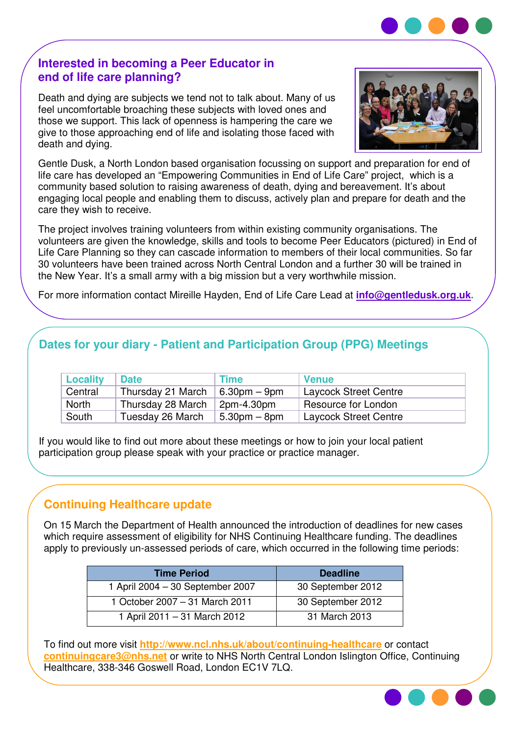#### **Interested in becoming a Peer Educator in end of life care planning?**

Death and dying are subjects we tend not to talk about. Many of us feel uncomfortable broaching these subjects with loved ones and those we support. This lack of openness is hampering the care we give to those approaching end of life and isolating those faced with death and dying.



Gentle Dusk, a North London based organisation focussing on support and preparation for end of life care has developed an "Empowering Communities in End of Life Care" project, which is a community based solution to raising awareness of death, dying and bereavement. It's about engaging local people and enabling them to discuss, actively plan and prepare for death and the care they wish to receive.

The project involves training volunteers from within existing community organisations. The volunteers are given the knowledge, skills and tools to become Peer Educators (pictured) in End of Life Care Planning so they can cascade information to members of their local communities. So far 30 volunteers have been trained across North Central London and a further 30 will be trained in the New Year. It's a small army with a big mission but a very worthwhile mission.

For more information contact Mireille Hayden, End of Life Care Lead at **info@gentledusk.org.uk.**

## **Dates for your diary - Patient and Participation Group (PPG) Meetings**

| <b>Locality</b> | <b>Date</b>       | <b>Time</b>    | <b>Venue</b>                 |
|-----------------|-------------------|----------------|------------------------------|
| Central         | Thursday 21 March | $6.30pm - 9pm$ | <b>Laycock Street Centre</b> |
| North           | Thursday 28 March | 2pm-4.30pm     | Resource for London          |
| South           | Tuesday 26 March  | $5.30pm - 8pm$ | Laycock Street Centre        |

If you would like to find out more about these meetings or how to join your local patient participation group please speak with your practice or practice manager.

### **Continuing Healthcare update**

On 15 March the Department of Health announced the introduction of deadlines for new cases which require assessment of eligibility for NHS Continuing Healthcare funding. The deadlines apply to previously un-assessed periods of care, which occurred in the following time periods:

| <b>Time Period</b>               | <b>Deadline</b>   |
|----------------------------------|-------------------|
| 1 April 2004 - 30 September 2007 | 30 September 2012 |
| 1 October 2007 - 31 March 2011   | 30 September 2012 |
| 1 April 2011 - 31 March 2012     | 31 March 2013     |

To find out more visit **http://www.ncl.nhs.uk/about/continuing-healthcare** or contact **continuingcare3@nhs.net** or write to NHS North Central London Islington Office, Continuing Healthcare, 338-346 Goswell Road, London EC1V 7LQ.